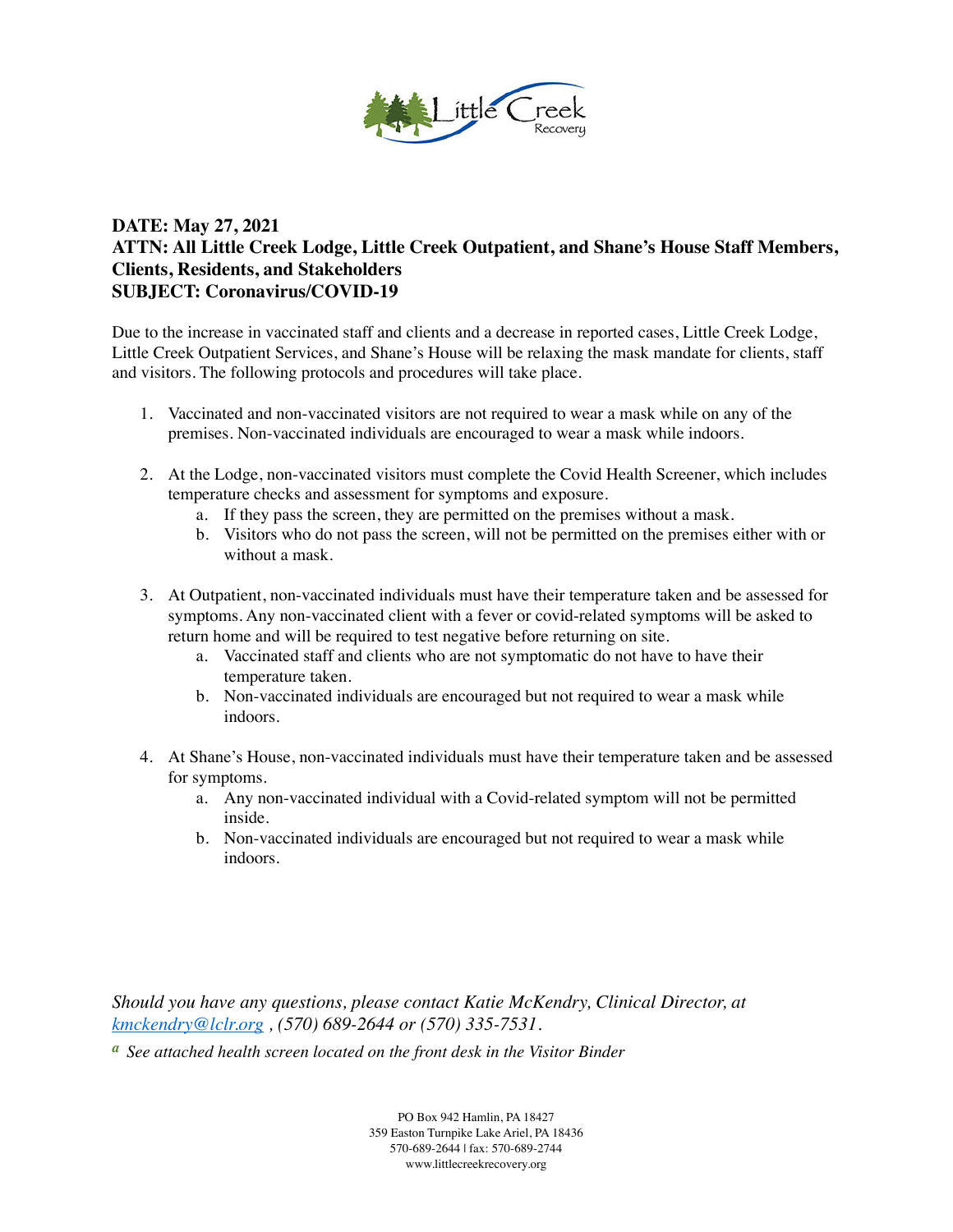

## **DATE: May 27, 2021 ATTN: All Little Creek Lodge, Little Creek Outpatient, and Shane's House Staff Members, Clients, Residents, and Stakeholders SUBJECT: Coronavirus/COVID-19**

Due to the increase in vaccinated staff and clients and a decrease in reported cases, Little Creek Lodge, Little Creek Outpatient Services, and Shane's House will be relaxing the mask mandate for clients, staff and visitors. The following protocols and procedures will take place.

- 1. Vaccinated and non-vaccinated visitors are not required to wear a mask while on any of the premises. Non-vaccinated individuals are encouraged to wear a mask while indoors.
- 2. At the Lodge, non-vaccinated visitors must complete the Covid Health Screener, which includes temperature checks and assessment for symptoms and exposure.
	- a. If they pass the screen, they are permitted on the premises without a mask.
	- b. Visitors who do not pass the screen, will not be permitted on the premises either with or without a mask.
- 3. At Outpatient, non-vaccinated individuals must have their temperature taken and be assessed for symptoms. Any non-vaccinated client with a fever or covid-related symptoms will be asked to return home and will be required to test negative before returning on site.
	- a. Vaccinated staff and clients who are not symptomatic do not have to have their temperature taken.
	- b. Non-vaccinated individuals are encouraged but not required to wear a mask while indoors.
- 4. At Shane's House, non-vaccinated individuals must have their temperature taken and be assessed for symptoms.
	- a. Any non-vaccinated individual with a Covid-related symptom will not be permitted inside.
	- b. Non-vaccinated individuals are encouraged but not required to wear a mask while indoors.

*Should you have any questions, please contact Katie McKendry, Clinical Director, at [kmckendry@lclr.org](mailto:kmckendry@lclr.org) , (570) 689-2644 or (570) 335-7531.* 

*a See attached health screen located on the front desk in the Visitor Binder* 

PO Box 942 Hamlin, PA 18427 359 Easton Turnpike Lake Ariel, PA 18436 570-689-2644 | fax: 570-689-2744 www.littlecreekrecovery.org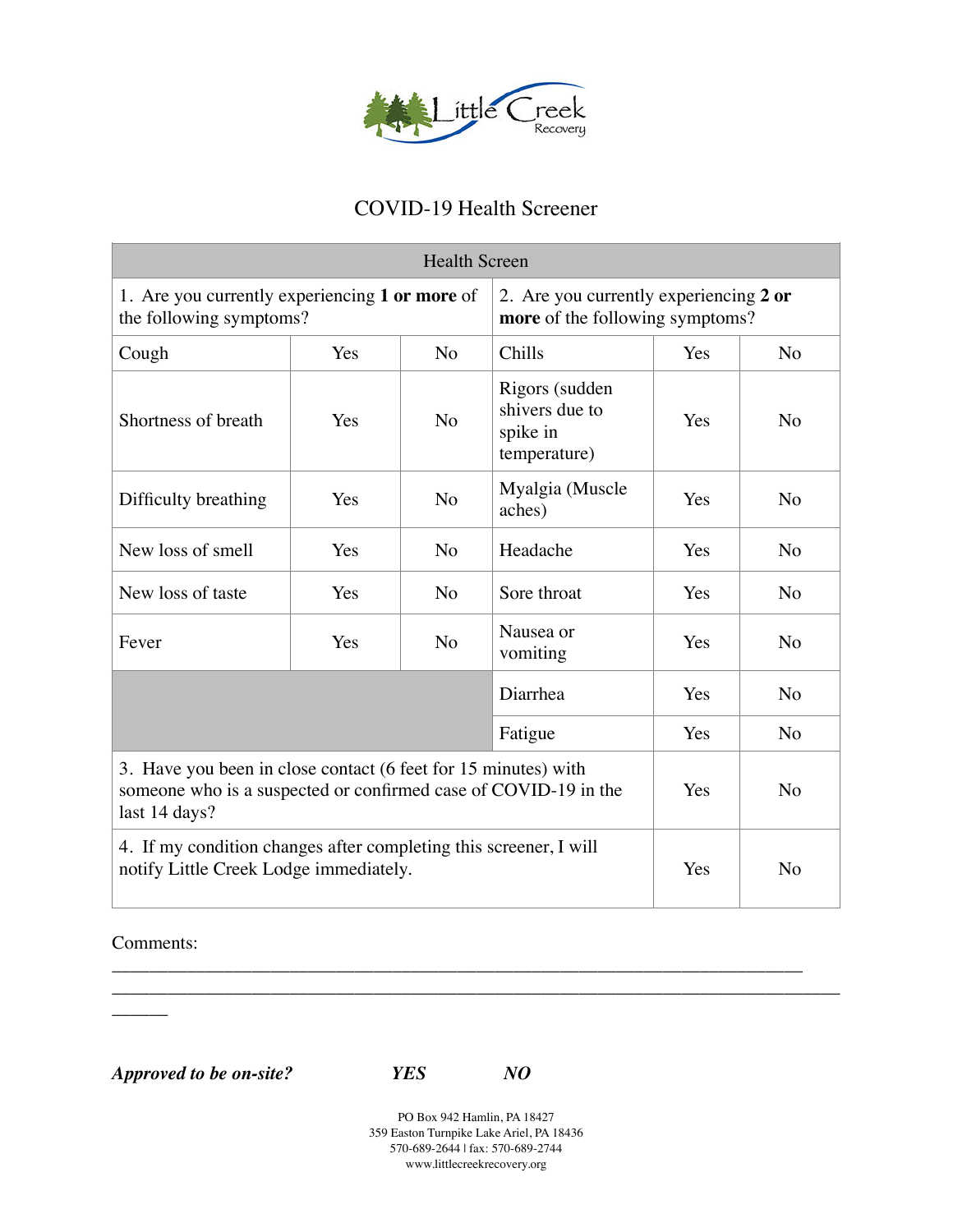

## COVID-19 Health Screener

| <b>Health Screen</b>                                                                                                                               |     |                |                                                                           |     |                |
|----------------------------------------------------------------------------------------------------------------------------------------------------|-----|----------------|---------------------------------------------------------------------------|-----|----------------|
| 1. Are you currently experiencing 1 or more of<br>the following symptoms?                                                                          |     |                | 2. Are you currently experiencing 2 or<br>more of the following symptoms? |     |                |
| Cough                                                                                                                                              | Yes | N <sub>o</sub> | Chills                                                                    | Yes | N <sub>o</sub> |
| Shortness of breath                                                                                                                                | Yes | N <sub>o</sub> | Rigors (sudden<br>shivers due to<br>spike in<br>temperature)              | Yes | N <sub>o</sub> |
| Difficulty breathing                                                                                                                               | Yes | N <sub>o</sub> | Myalgia (Muscle<br>aches)                                                 | Yes | N <sub>o</sub> |
| New loss of smell                                                                                                                                  | Yes | N <sub>o</sub> | Headache                                                                  | Yes | N <sub>o</sub> |
| New loss of taste                                                                                                                                  | Yes | N <sub>o</sub> | Sore throat                                                               | Yes | N <sub>o</sub> |
| Fever                                                                                                                                              | Yes | N <sub>o</sub> | Nausea or<br>vomiting                                                     | Yes | N <sub>o</sub> |
| Diarrhea                                                                                                                                           |     |                |                                                                           | Yes | N <sub>o</sub> |
|                                                                                                                                                    |     |                | Fatigue                                                                   | Yes | N <sub>o</sub> |
| 3. Have you been in close contact (6 feet for 15 minutes) with<br>someone who is a suspected or confirmed case of COVID-19 in the<br>last 14 days? |     |                |                                                                           | Yes | N <sub>o</sub> |
| 4. If my condition changes after completing this screener, I will<br>notify Little Creek Lodge immediately.                                        |     |                |                                                                           | Yes | N <sub>o</sub> |

Comments:

 $\overline{\phantom{a}}$ 

*Approved to be on-site? YES NO* 

PO Box 942 Hamlin, PA 18427 359 Easton Turnpike Lake Ariel, PA 18436 570-689-2644 | fax: 570-689-2744 www.littlecreekrecovery.org

\_\_\_\_\_\_\_\_\_\_\_\_\_\_\_\_\_\_\_\_\_\_\_\_\_\_\_\_\_\_\_\_\_\_\_\_\_\_\_\_\_\_\_\_\_\_\_\_\_\_\_\_\_\_\_\_\_\_\_\_\_\_\_\_\_\_\_\_\_\_\_\_\_\_ \_\_\_\_\_\_\_\_\_\_\_\_\_\_\_\_\_\_\_\_\_\_\_\_\_\_\_\_\_\_\_\_\_\_\_\_\_\_\_\_\_\_\_\_\_\_\_\_\_\_\_\_\_\_\_\_\_\_\_\_\_\_\_\_\_\_\_\_\_\_\_\_\_\_\_\_\_\_